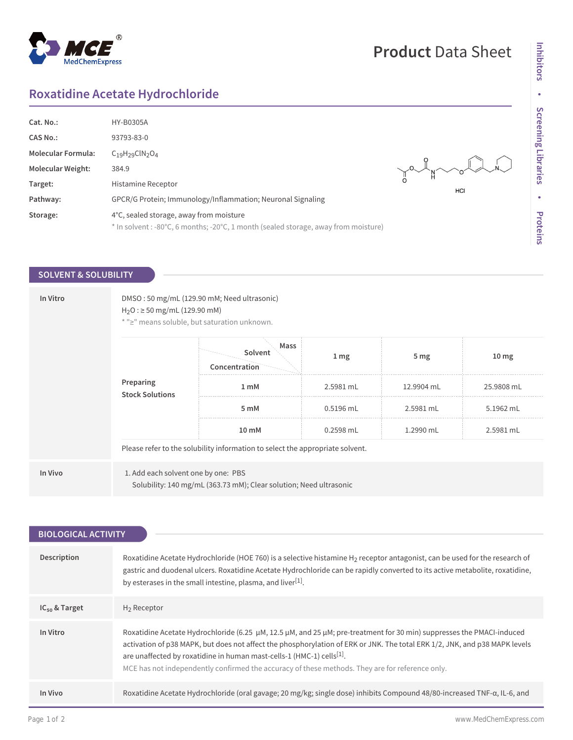#### $^{\circledR}$ MedChemExpress

## **Product** Data Sheet

# **Inhibitors** Inhibitors · Screening Libraries **Screening Libraries • Proteins**

## **Roxatidine Acetate Hydrochloride**

| Cat. No.:                 | <b>HY-B0305A</b>                                                                    |                |
|---------------------------|-------------------------------------------------------------------------------------|----------------|
| <b>CAS No.:</b>           | 93793-83-0                                                                          |                |
| <b>Molecular Formula:</b> | $C_{19}H_{29}CIN_{2}O_{4}$                                                          |                |
| <b>Molecular Weight:</b>  | 384.9                                                                               | you you do the |
| Target:                   | Histamine Receptor                                                                  | HCI            |
| Pathway:                  | GPCR/G Protein; Immunology/Inflammation; Neuronal Signaling                         |                |
| Storage:                  | 4°C, sealed storage, away from moisture                                             |                |
|                           | * In solvent : -80°C, 6 months; -20°C, 1 month (sealed storage, away from moisture) |                |

#### **SOLVENT & SOLUBILITY**

| In Vitro | DMSO: 50 mg/mL (129.90 mM; Need ultrasonic)<br>$H_2O$ : $\geq$ 50 mg/mL (129.90 mM)<br>* ">" means soluble, but saturation unknown. |      |             |                 |                  |  |
|----------|-------------------------------------------------------------------------------------------------------------------------------------|------|-------------|-----------------|------------------|--|
|          | Solvent<br>Concentration<br>Preparing<br>1 <sub>m</sub> M<br><b>Stock Solutions</b><br>5 mM<br>10 mM                                | Mass | 1 mg        | 5 <sub>mg</sub> | 10 <sub>mg</sub> |  |
|          |                                                                                                                                     |      | 2.5981 mL   | 12.9904 mL      | 25.9808 mL       |  |
|          |                                                                                                                                     |      | $0.5196$ mL | 2.5981 mL       | 5.1962 mL        |  |
|          |                                                                                                                                     |      | 0.2598 mL   | 1.2990 mL       | 2.5981 mL        |  |
|          | Please refer to the solubility information to select the appropriate solvent.                                                       |      |             |                 |                  |  |
| In Vivo  | 1. Add each solvent one by one: PBS<br>Solubility: 140 mg/mL (363.73 mM); Clear solution; Need ultrasonic                           |      |             |                 |                  |  |

| <b>BIOLOGICAL ACTIVITY</b> |                                                                                                                                                                                                                                                                                                                                                                                                                                                            |  |  |
|----------------------------|------------------------------------------------------------------------------------------------------------------------------------------------------------------------------------------------------------------------------------------------------------------------------------------------------------------------------------------------------------------------------------------------------------------------------------------------------------|--|--|
|                            |                                                                                                                                                                                                                                                                                                                                                                                                                                                            |  |  |
| Description                | Roxatidine Acetate Hydrochloride (HOE 760) is a selective histamine H <sub>2</sub> receptor antagonist, can be used for the research of<br>gastric and duodenal ulcers. Roxatidine Acetate Hydrochloride can be rapidly converted to its active metabolite, roxatidine,<br>by esterases in the small intestine, plasma, and liver <sup>[1]</sup> .                                                                                                         |  |  |
| $IC_{50}$ & Target         | $H_2$ Receptor                                                                                                                                                                                                                                                                                                                                                                                                                                             |  |  |
| In Vitro                   | Roxatidine Acetate Hydrochloride (6.25 $\mu$ M, 12.5 $\mu$ M, and 25 $\mu$ M; pre-treatment for 30 min) suppresses the PMACI-induced<br>activation of p38 MAPK, but does not affect the phosphorylation of ERK or JNK. The total ERK 1/2, JNK, and p38 MAPK levels<br>are unaffected by roxatidine in human mast-cells-1 (HMC-1) cells <sup>[1]</sup> .<br>MCE has not independently confirmed the accuracy of these methods. They are for reference only. |  |  |
| In Vivo                    | Roxatidine Acetate Hydrochloride (oral gavage; 20 mg/kg; single dose) inhibits Compound 48/80-increased TNF-a, IL-6, and                                                                                                                                                                                                                                                                                                                                   |  |  |